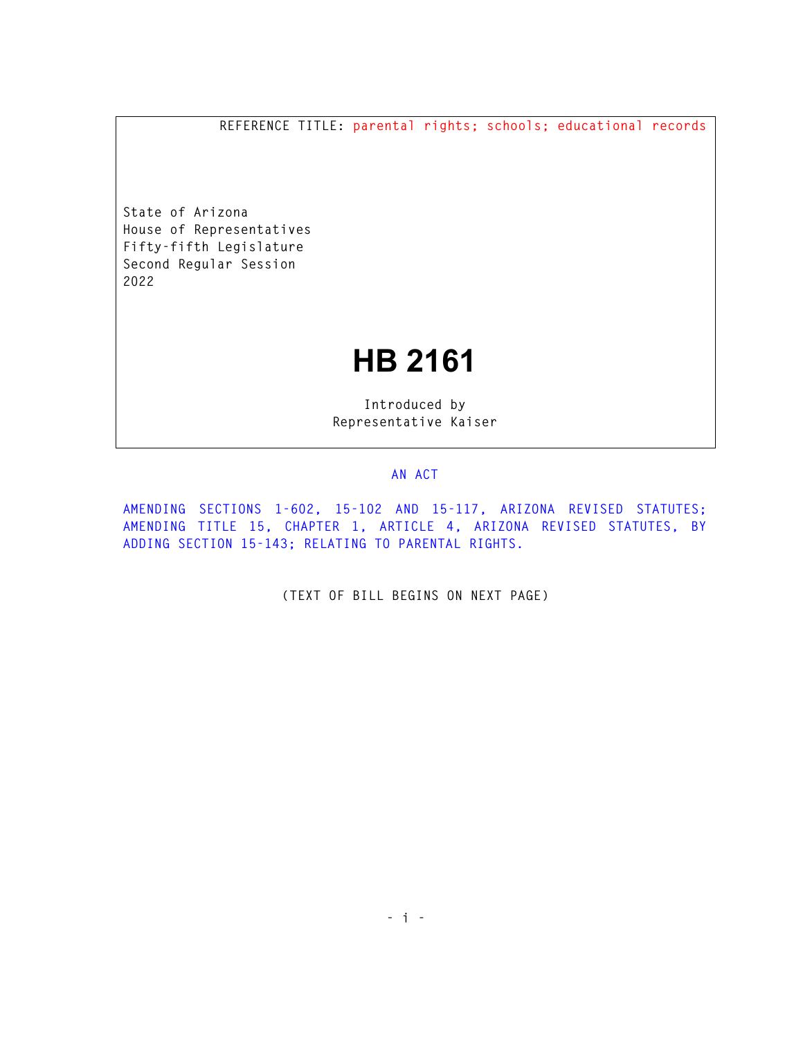**REFERENCE TITLE: parental rights; schools; educational records** 

**State of Arizona House of Representatives Fifty-fifth Legislature Second Regular Session 2022** 

## **HB 2161**

**Introduced by Representative Kaiser** 

## **AN ACT**

**AMENDING SECTIONS 1-602, 15-102 AND 15-117, ARIZONA REVISED STATUTES; AMENDING TITLE 15, CHAPTER 1, ARTICLE 4, ARIZONA REVISED STATUTES, BY ADDING SECTION 15-143; RELATING TO PARENTAL RIGHTS.** 

**(TEXT OF BILL BEGINS ON NEXT PAGE)**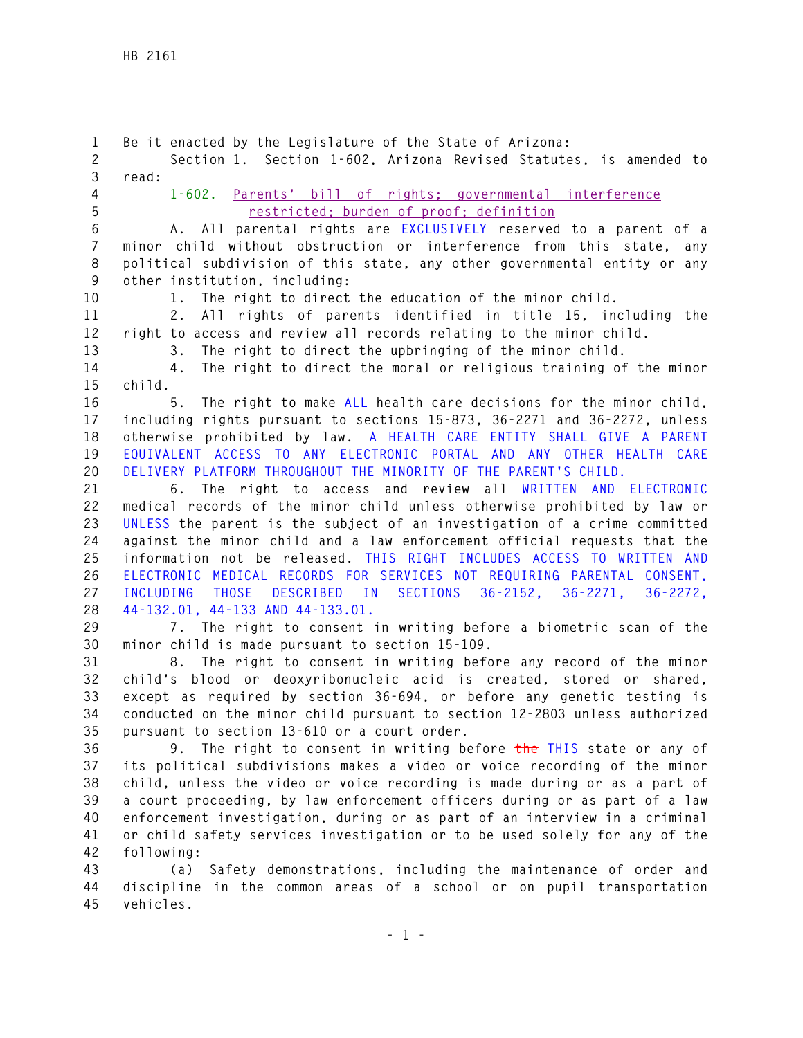**1 Be it enacted by the Legislature of the State of Arizona: 2 Section 1. Section 1-602, Arizona Revised Statutes, is amended to 3 read: 4 1-602. Parents' bill of rights; governmental interference 5 restricted; burden of proof; definition 6 A. All parental rights are EXCLUSIVELY reserved to a parent of a 7 minor child without obstruction or interference from this state, any 8 political subdivision of this state, any other governmental entity or any 9 other institution, including: 10 1. The right to direct the education of the minor child. 11 2. All rights of parents identified in title 15, including the 12 right to access and review all records relating to the minor child. 13 3. The right to direct the upbringing of the minor child. 14 4. The right to direct the moral or religious training of the minor 15 child. 16 5. The right to make ALL health care decisions for the minor child, 17 including rights pursuant to sections 15-873, 36-2271 and 36-2272, unless 18 otherwise prohibited by law. A HEALTH CARE ENTITY SHALL GIVE A PARENT 19 EQUIVALENT ACCESS TO ANY ELECTRONIC PORTAL AND ANY OTHER HEALTH CARE 20 DELIVERY PLATFORM THROUGHOUT THE MINORITY OF THE PARENT'S CHILD. 21 6. The right to access and review all WRITTEN AND ELECTRONIC 22 medical records of the minor child unless otherwise prohibited by law or 23 UNLESS the parent is the subject of an investigation of a crime committed 24 against the minor child and a law enforcement official requests that the 25 information not be released. THIS RIGHT INCLUDES ACCESS TO WRITTEN AND 26 ELECTRONIC MEDICAL RECORDS FOR SERVICES NOT REQUIRING PARENTAL CONSENT, 27 INCLUDING THOSE DESCRIBED IN SECTIONS 36-2152, 36-2271, 36-2272, 28 44-132.01, 44-133 AND 44-133.01. 29 7. The right to consent in writing before a biometric scan of the 30 minor child is made pursuant to section 15-109. 31 8. The right to consent in writing before any record of the minor 32 child's blood or deoxyribonucleic acid is created, stored or shared, 33 except as required by section 36-694, or before any genetic testing is 34 conducted on the minor child pursuant to section 12-2803 unless authorized 35 pursuant to section 13-610 or a court order. 36 9. The right to consent in writing before the THIS state or any of 37 its political subdivisions makes a video or voice recording of the minor 38 child, unless the video or voice recording is made during or as a part of 39 a court proceeding, by law enforcement officers during or as part of a law 40 enforcement investigation, during or as part of an interview in a criminal 41 or child safety services investigation or to be used solely for any of the 42 following: 43 (a) Safety demonstrations, including the maintenance of order and 44 discipline in the common areas of a school or on pupil transportation 45 vehicles.**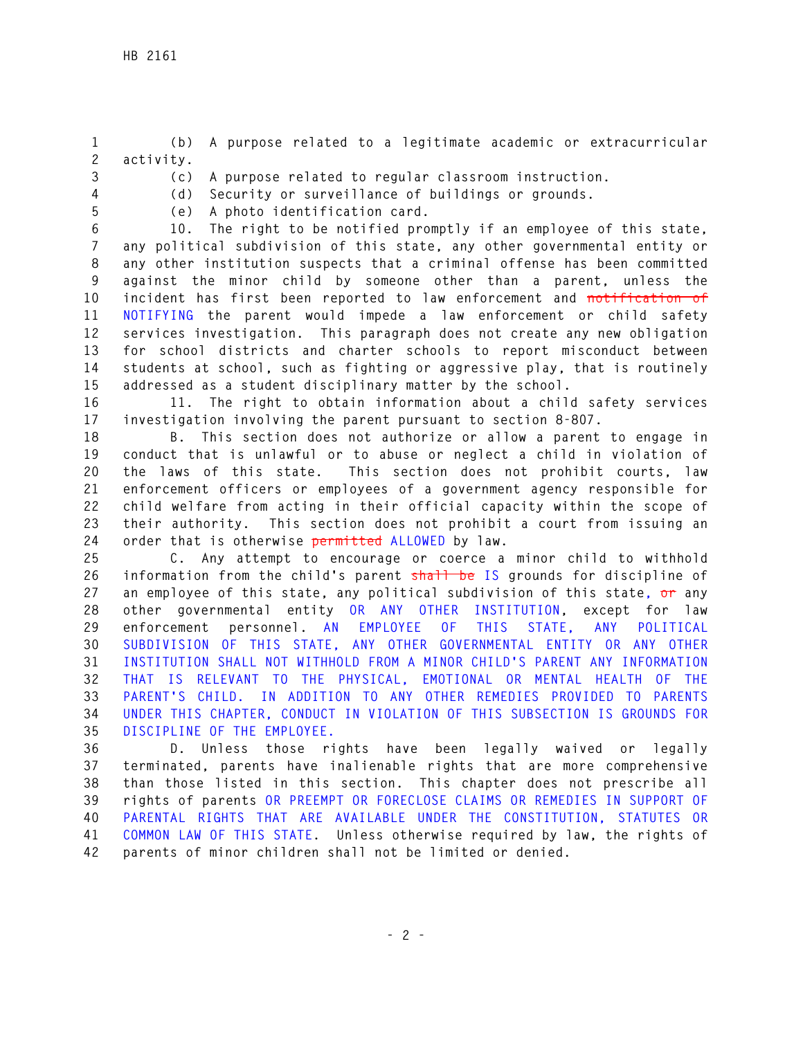**1 (b) A purpose related to a legitimate academic or extracurricular 2 activity.** 

**3 (c) A purpose related to regular classroom instruction.** 

**4 (d) Security or surveillance of buildings or grounds. 5 (e) A photo identification card.** 

**6 10. The right to be notified promptly if an employee of this state,** 

**7 any political subdivision of this state, any other governmental entity or 8 any other institution suspects that a criminal offense has been committed 9 against the minor child by someone other than a parent, unless the 10 incident has first been reported to law enforcement and notification of 11 NOTIFYING the parent would impede a law enforcement or child safety 12 services investigation. This paragraph does not create any new obligation 13 for school districts and charter schools to report misconduct between 14 students at school, such as fighting or aggressive play, that is routinely 15 addressed as a student disciplinary matter by the school.** 

**16 11. The right to obtain information about a child safety services 17 investigation involving the parent pursuant to section 8-807.** 

**18 B. This section does not authorize or allow a parent to engage in 19 conduct that is unlawful or to abuse or neglect a child in violation of 20 the laws of this state. This section does not prohibit courts, law 21 enforcement officers or employees of a government agency responsible for 22 child welfare from acting in their official capacity within the scope of 23 their authority. This section does not prohibit a court from issuing an 24 order that is otherwise permitted ALLOWED by law.** 

**25 C. Any attempt to encourage or coerce a minor child to withhold 26 information from the child's parent shall be IS grounds for discipline of 27 an employee of this state, any political subdivision of this state, or any 28 other governmental entity OR ANY OTHER INSTITUTION, except for law 29 enforcement personnel. AN EMPLOYEE OF THIS STATE, ANY POLITICAL 30 SUBDIVISION OF THIS STATE, ANY OTHER GOVERNMENTAL ENTITY OR ANY OTHER 31 INSTITUTION SHALL NOT WITHHOLD FROM A MINOR CHILD'S PARENT ANY INFORMATION 32 THAT IS RELEVANT TO THE PHYSICAL, EMOTIONAL OR MENTAL HEALTH OF THE 33 PARENT'S CHILD. IN ADDITION TO ANY OTHER REMEDIES PROVIDED TO PARENTS 34 UNDER THIS CHAPTER, CONDUCT IN VIOLATION OF THIS SUBSECTION IS GROUNDS FOR 35 DISCIPLINE OF THE EMPLOYEE.** 

**36 D. Unless those rights have been legally waived or legally 37 terminated, parents have inalienable rights that are more comprehensive 38 than those listed in this section. This chapter does not prescribe all 39 rights of parents OR PREEMPT OR FORECLOSE CLAIMS OR REMEDIES IN SUPPORT OF 40 PARENTAL RIGHTS THAT ARE AVAILABLE UNDER THE CONSTITUTION, STATUTES OR 41 COMMON LAW OF THIS STATE. Unless otherwise required by law, the rights of 42 parents of minor children shall not be limited or denied.**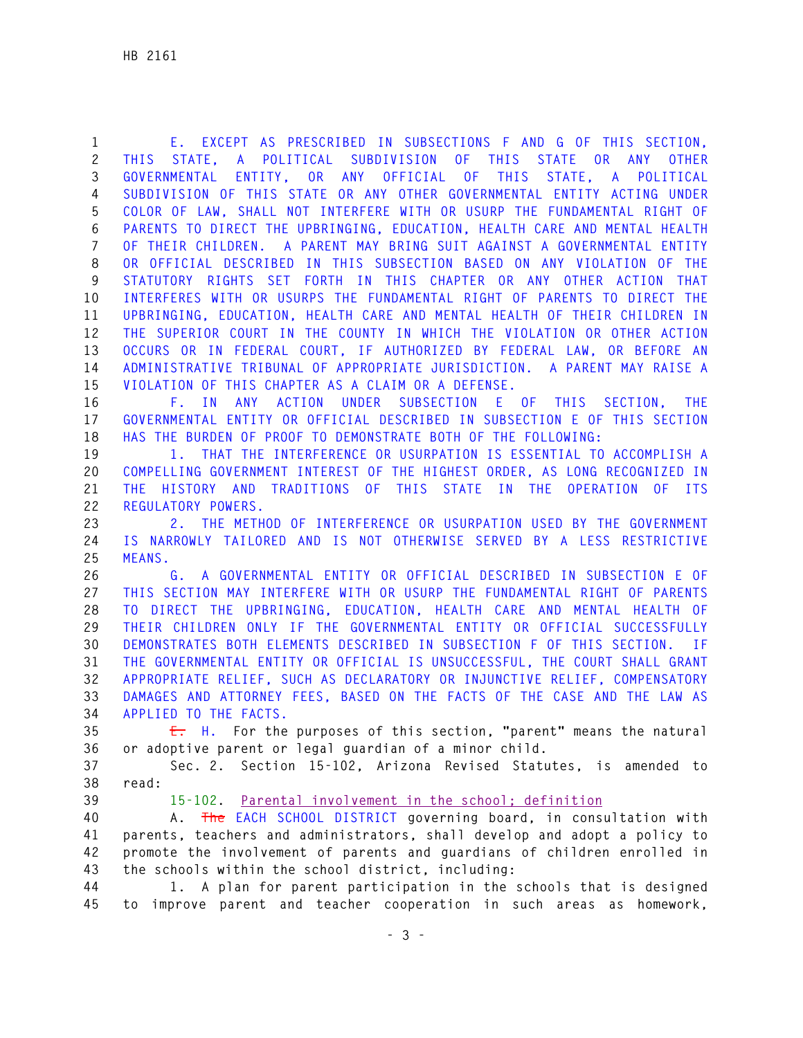**1 E. EXCEPT AS PRESCRIBED IN SUBSECTIONS F AND G OF THIS SECTION, 2 THIS STATE, A POLITICAL SUBDIVISION OF THIS STATE OR ANY OTHER 3 GOVERNMENTAL ENTITY, OR ANY OFFICIAL OF THIS STATE, A POLITICAL 4 SUBDIVISION OF THIS STATE OR ANY OTHER GOVERNMENTAL ENTITY ACTING UNDER 5 COLOR OF LAW, SHALL NOT INTERFERE WITH OR USURP THE FUNDAMENTAL RIGHT OF 6 PARENTS TO DIRECT THE UPBRINGING, EDUCATION, HEALTH CARE AND MENTAL HEALTH 7 OF THEIR CHILDREN. A PARENT MAY BRING SUIT AGAINST A GOVERNMENTAL ENTITY 8 OR OFFICIAL DESCRIBED IN THIS SUBSECTION BASED ON ANY VIOLATION OF THE 9 STATUTORY RIGHTS SET FORTH IN THIS CHAPTER OR ANY OTHER ACTION THAT 10 INTERFERES WITH OR USURPS THE FUNDAMENTAL RIGHT OF PARENTS TO DIRECT THE 11 UPBRINGING, EDUCATION, HEALTH CARE AND MENTAL HEALTH OF THEIR CHILDREN IN 12 THE SUPERIOR COURT IN THE COUNTY IN WHICH THE VIOLATION OR OTHER ACTION 13 OCCURS OR IN FEDERAL COURT, IF AUTHORIZED BY FEDERAL LAW, OR BEFORE AN 14 ADMINISTRATIVE TRIBUNAL OF APPROPRIATE JURISDICTION. A PARENT MAY RAISE A 15 VIOLATION OF THIS CHAPTER AS A CLAIM OR A DEFENSE.** 

**16 F. IN ANY ACTION UNDER SUBSECTION E OF THIS SECTION, THE 17 GOVERNMENTAL ENTITY OR OFFICIAL DESCRIBED IN SUBSECTION E OF THIS SECTION 18 HAS THE BURDEN OF PROOF TO DEMONSTRATE BOTH OF THE FOLLOWING:** 

**19 1. THAT THE INTERFERENCE OR USURPATION IS ESSENTIAL TO ACCOMPLISH A 20 COMPELLING GOVERNMENT INTEREST OF THE HIGHEST ORDER, AS LONG RECOGNIZED IN 21 THE HISTORY AND TRADITIONS OF THIS STATE IN THE OPERATION OF ITS 22 REGULATORY POWERS.** 

**23 2. THE METHOD OF INTERFERENCE OR USURPATION USED BY THE GOVERNMENT 24 IS NARROWLY TAILORED AND IS NOT OTHERWISE SERVED BY A LESS RESTRICTIVE 25 MEANS.** 

**26 G. A GOVERNMENTAL ENTITY OR OFFICIAL DESCRIBED IN SUBSECTION E OF 27 THIS SECTION MAY INTERFERE WITH OR USURP THE FUNDAMENTAL RIGHT OF PARENTS 28 TO DIRECT THE UPBRINGING, EDUCATION, HEALTH CARE AND MENTAL HEALTH OF 29 THEIR CHILDREN ONLY IF THE GOVERNMENTAL ENTITY OR OFFICIAL SUCCESSFULLY 30 DEMONSTRATES BOTH ELEMENTS DESCRIBED IN SUBSECTION F OF THIS SECTION. IF 31 THE GOVERNMENTAL ENTITY OR OFFICIAL IS UNSUCCESSFUL, THE COURT SHALL GRANT 32 APPROPRIATE RELIEF, SUCH AS DECLARATORY OR INJUNCTIVE RELIEF, COMPENSATORY 33 DAMAGES AND ATTORNEY FEES, BASED ON THE FACTS OF THE CASE AND THE LAW AS 34 APPLIED TO THE FACTS.** 

**35 E. H. For the purposes of this section, "parent" means the natural 36 or adoptive parent or legal guardian of a minor child.** 

**37 Sec. 2. Section 15-102, Arizona Revised Statutes, is amended to 38 read:** 

## **39 15-102. Parental involvement in the school; definition**

**40 A. The EACH SCHOOL DISTRICT governing board, in consultation with 41 parents, teachers and administrators, shall develop and adopt a policy to 42 promote the involvement of parents and guardians of children enrolled in 43 the schools within the school district, including:** 

**44 1. A plan for parent participation in the schools that is designed 45 to improve parent and teacher cooperation in such areas as homework,**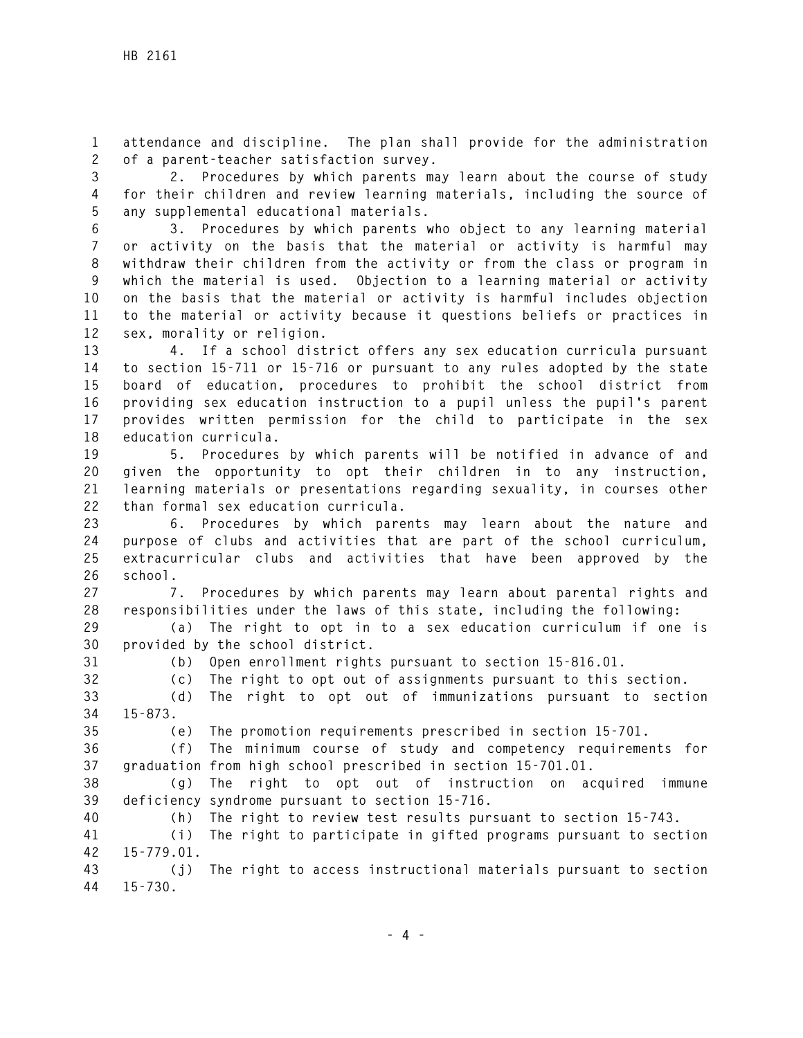**1 attendance and discipline. The plan shall provide for the administration 2 of a parent-teacher satisfaction survey.** 

**3 2. Procedures by which parents may learn about the course of study 4 for their children and review learning materials, including the source of 5 any supplemental educational materials.** 

**6 3. Procedures by which parents who object to any learning material 7 or activity on the basis that the material or activity is harmful may 8 withdraw their children from the activity or from the class or program in 9 which the material is used. Objection to a learning material or activity 10 on the basis that the material or activity is harmful includes objection 11 to the material or activity because it questions beliefs or practices in 12 sex, morality or religion.** 

**13 4. If a school district offers any sex education curricula pursuant 14 to section 15-711 or 15-716 or pursuant to any rules adopted by the state 15 board of education, procedures to prohibit the school district from 16 providing sex education instruction to a pupil unless the pupil's parent 17 provides written permission for the child to participate in the sex 18 education curricula.** 

**19 5. Procedures by which parents will be notified in advance of and 20 given the opportunity to opt their children in to any instruction, 21 learning materials or presentations regarding sexuality, in courses other 22 than formal sex education curricula.** 

**23 6. Procedures by which parents may learn about the nature and 24 purpose of clubs and activities that are part of the school curriculum, 25 extracurricular clubs and activities that have been approved by the 26 school.** 

**27 7. Procedures by which parents may learn about parental rights and 28 responsibilities under the laws of this state, including the following:** 

**29 (a) The right to opt in to a sex education curriculum if one is 30 provided by the school district.** 

**31 (b) Open enrollment rights pursuant to section 15-816.01.** 

**32 (c) The right to opt out of assignments pursuant to this section.** 

**33 (d) The right to opt out of immunizations pursuant to section 34 15-873.** 

**35 (e) The promotion requirements prescribed in section 15-701.** 

**36 (f) The minimum course of study and competency requirements for 37 graduation from high school prescribed in section 15-701.01.** 

**38 (g) The right to opt out of instruction on acquired immune 39 deficiency syndrome pursuant to section 15-716.** 

**40 (h) The right to review test results pursuant to section 15-743.** 

**41 (i) The right to participate in gifted programs pursuant to section 42 15-779.01.** 

**43 (j) The right to access instructional materials pursuant to section 44 15-730.**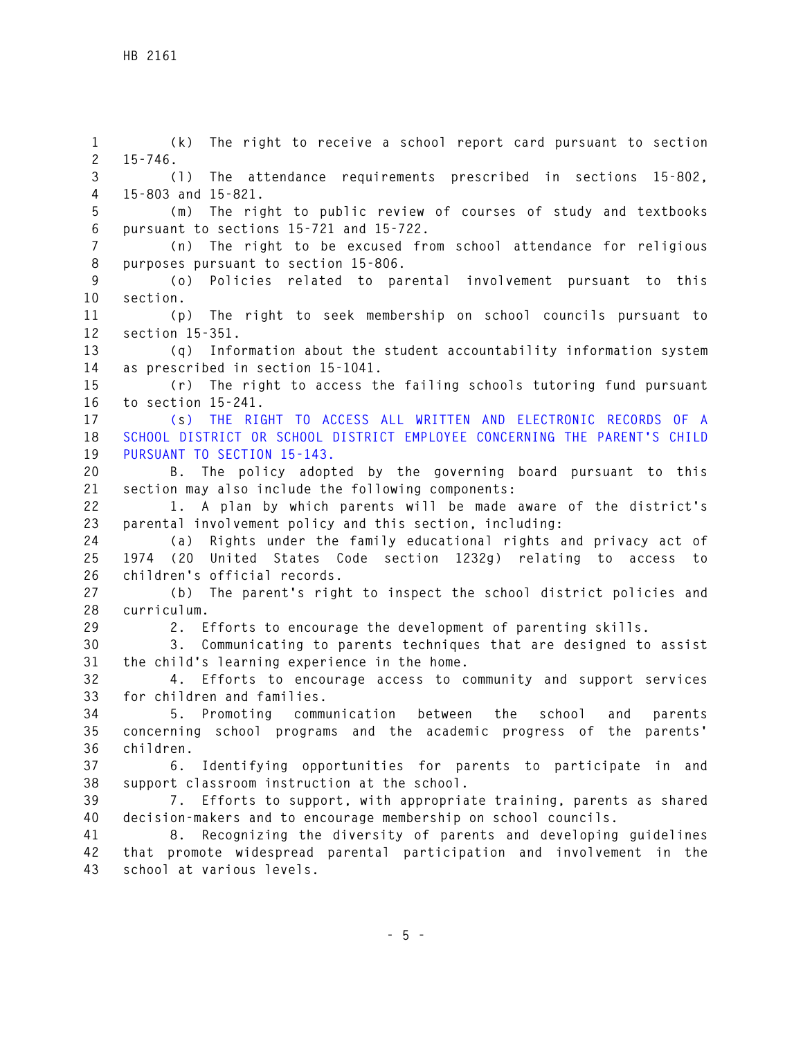**1 (k) The right to receive a school report card pursuant to section 2 15-746. 3 (l) The attendance requirements prescribed in sections 15-802, 4 15-803 and 15-821. 5 (m) The right to public review of courses of study and textbooks 6 pursuant to sections 15-721 and 15-722. 7 (n) The right to be excused from school attendance for religious 8 purposes pursuant to section 15-806. 9 (o) Policies related to parental involvement pursuant to this 10 section. 11 (p) The right to seek membership on school councils pursuant to 12 section 15-351. 13 (q) Information about the student accountability information system 14 as prescribed in section 15-1041. 15 (r) The right to access the failing schools tutoring fund pursuant 16 to section 15-241. 17 (s) THE RIGHT TO ACCESS ALL WRITTEN AND ELECTRONIC RECORDS OF A 18 SCHOOL DISTRICT OR SCHOOL DISTRICT EMPLOYEE CONCERNING THE PARENT'S CHILD 19 PURSUANT TO SECTION 15-143. 20 B. The policy adopted by the governing board pursuant to this 21 section may also include the following components: 22 1. A plan by which parents will be made aware of the district's 23 parental involvement policy and this section, including: 24 (a) Rights under the family educational rights and privacy act of 25 1974 (20 United States Code section 1232g) relating to access to 26 children's official records. 27 (b) The parent's right to inspect the school district policies and 28 curriculum. 29 2. Efforts to encourage the development of parenting skills. 30 3. Communicating to parents techniques that are designed to assist 31 the child's learning experience in the home. 32 4. Efforts to encourage access to community and support services 33 for children and families. 34 5. Promoting communication between the school and parents 35 concerning school programs and the academic progress of the parents' 36 children. 37 6. Identifying opportunities for parents to participate in and 38 support classroom instruction at the school. 39 7. Efforts to support, with appropriate training, parents as shared 40 decision-makers and to encourage membership on school councils. 41 8. Recognizing the diversity of parents and developing guidelines 42 that promote widespread parental participation and involvement in the 43 school at various levels.**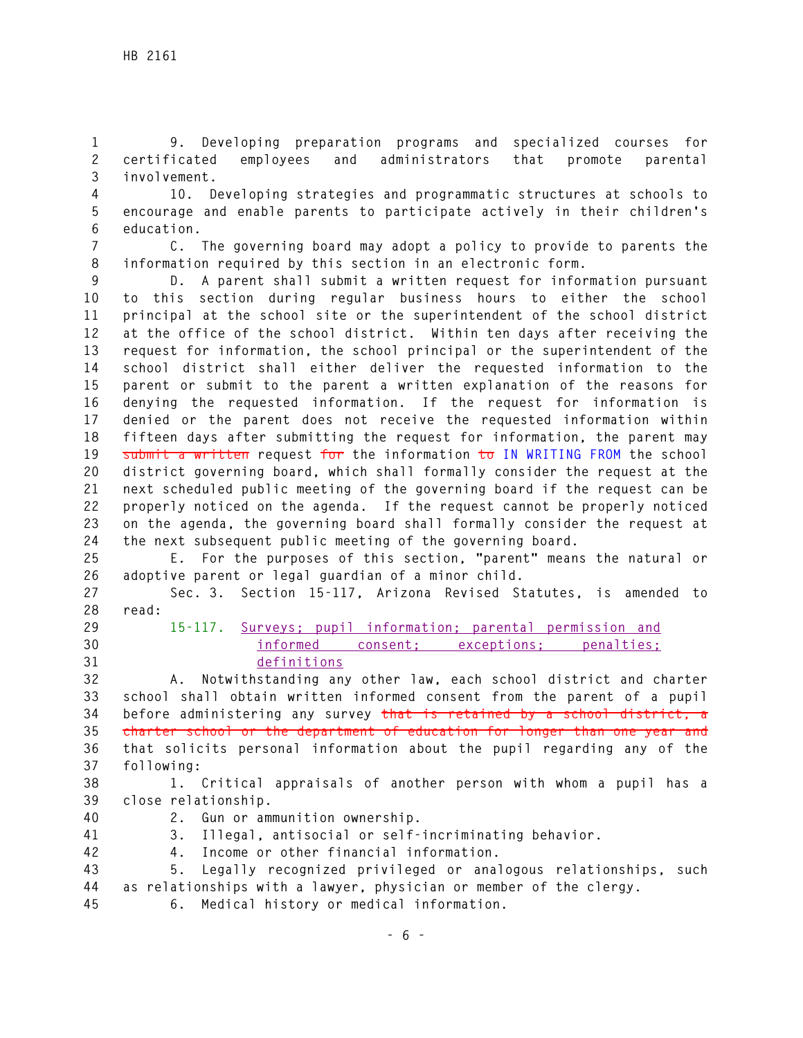**1 9. Developing preparation programs and specialized courses for 2 certificated employees and administrators that promote parental 3 involvement.** 

- **4 10. Developing strategies and programmatic structures at schools to 5 encourage and enable parents to participate actively in their children's 6 education.**
- **7 C. The governing board may adopt a policy to provide to parents the 8 information required by this section in an electronic form.**

**9 D. A parent shall submit a written request for information pursuant 10 to this section during regular business hours to either the school 11 principal at the school site or the superintendent of the school district 12 at the office of the school district. Within ten days after receiving the 13 request for information, the school principal or the superintendent of the 14 school district shall either deliver the requested information to the 15 parent or submit to the parent a written explanation of the reasons for 16 denying the requested information. If the request for information is 17 denied or the parent does not receive the requested information within 18 fifteen days after submitting the request for information, the parent may 19 submit a written request for the information to IN WRITING FROM the school 20 district governing board, which shall formally consider the request at the 21 next scheduled public meeting of the governing board if the request can be 22 properly noticed on the agenda. If the request cannot be properly noticed 23 on the agenda, the governing board shall formally consider the request at 24 the next subsequent public meeting of the governing board.** 

**25 E. For the purposes of this section, "parent" means the natural or 26 adoptive parent or legal guardian of a minor child.** 

**27 Sec. 3. Section 15-117, Arizona Revised Statutes, is amended to 28 read:** 

- 
- 
- **29 15-117. Surveys; pupil information; parental permission and 30 informed consent; exceptions; penalties; 31 definitions**

**32 A. Notwithstanding any other law, each school district and charter 33 school shall obtain written informed consent from the parent of a pupil 34 before administering any survey that is retained by a school district, a 35 charter school or the department of education for longer than one year and 36 that solicits personal information about the pupil regarding any of the 37 following:** 

**38 1. Critical appraisals of another person with whom a pupil has a 39 close relationship.** 

- 
- **40 2. Gun or ammunition ownership.**

**41 3. Illegal, antisocial or self-incriminating behavior.** 

- 
- **42 4. Income or other financial information.**

**43 5. Legally recognized privileged or analogous relationships, such 44 as relationships with a lawyer, physician or member of the clergy. 45 6. Medical history or medical information.**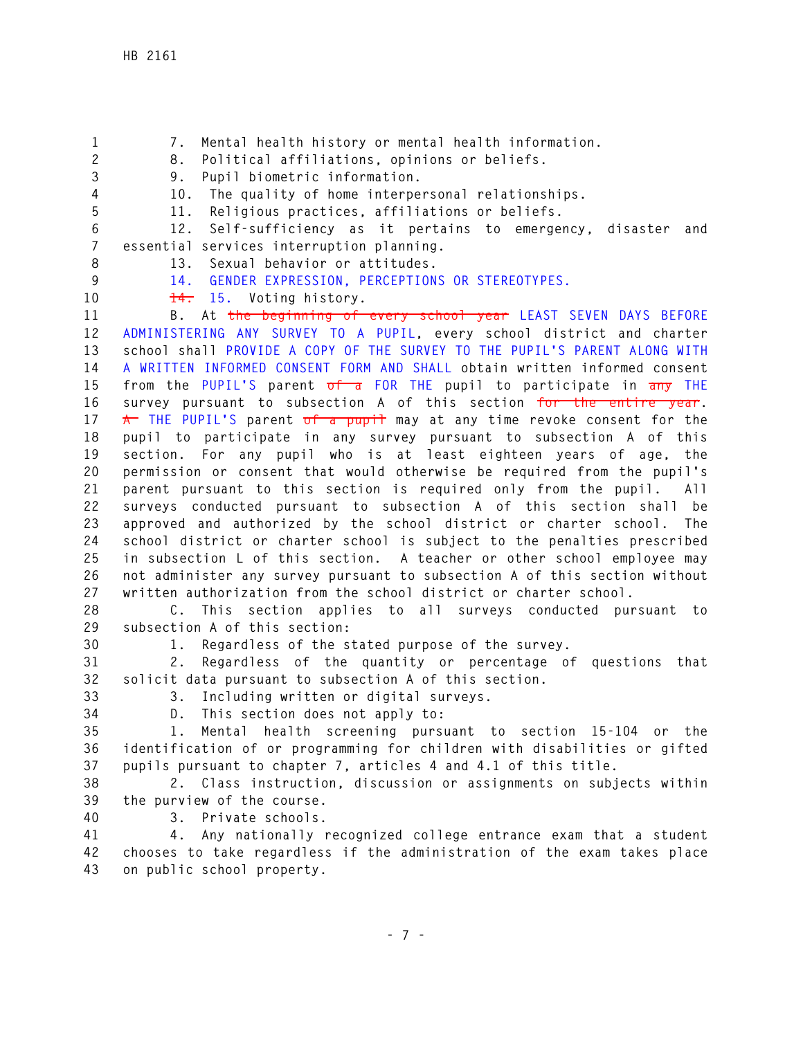**2 8. Political affiliations, opinions or beliefs. 3 9. Pupil biometric information. 4 10. The quality of home interpersonal relationships. 5 11. Religious practices, affiliations or beliefs. 6 12. Self-sufficiency as it pertains to emergency, disaster and 7 essential services interruption planning. 8 13. Sexual behavior or attitudes. 9 14. GENDER EXPRESSION, PERCEPTIONS OR STEREOTYPES. 10 14. 15. Voting history. 11 B. At the beginning of every school year LEAST SEVEN DAYS BEFORE 12 ADMINISTERING ANY SURVEY TO A PUPIL, every school district and charter 13 school shall PROVIDE A COPY OF THE SURVEY TO THE PUPIL'S PARENT ALONG WITH 14 A WRITTEN INFORMED CONSENT FORM AND SHALL obtain written informed consent 15 from the PUPIL'S parent of a FOR THE pupil to participate in any THE 16 survey pursuant to subsection A of this section for the entire year.**  17 **A** THE PUPIL'S parent of a pupil may at any time revoke consent for the **18 pupil to participate in any survey pursuant to subsection A of this 19 section. For any pupil who is at least eighteen years of age, the 20 permission or consent that would otherwise be required from the pupil's 21 parent pursuant to this section is required only from the pupil. All 22 surveys conducted pursuant to subsection A of this section shall be 23 approved and authorized by the school district or charter school. The 24 school district or charter school is subject to the penalties prescribed 25 in subsection L of this section. A teacher or other school employee may 26 not administer any survey pursuant to subsection A of this section without 27 written authorization from the school district or charter school.** 

**1 7. Mental health history or mental health information.** 

**28 C. This section applies to all surveys conducted pursuant to 29 subsection A of this section:** 

**30 1. Regardless of the stated purpose of the survey.** 

**31 2. Regardless of the quantity or percentage of questions that 32 solicit data pursuant to subsection A of this section.** 

**33 3. Including written or digital surveys.** 

**34 D. This section does not apply to:** 

**35 1. Mental health screening pursuant to section 15-104 or the 36 identification of or programming for children with disabilities or gifted 37 pupils pursuant to chapter 7, articles 4 and 4.1 of this title.** 

**38 2. Class instruction, discussion or assignments on subjects within 39 the purview of the course.** 

**40 3. Private schools.** 

**41 4. Any nationally recognized college entrance exam that a student 42 chooses to take regardless if the administration of the exam takes place 43 on public school property.**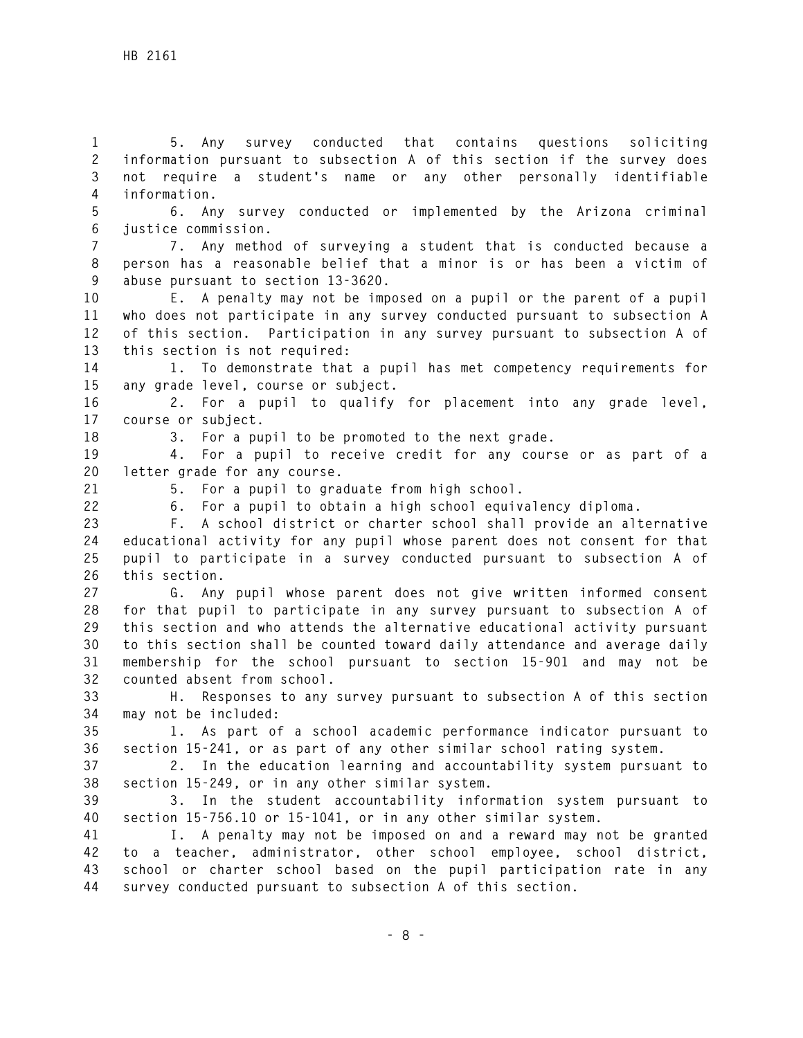**1 5. Any survey conducted that contains questions soliciting 2 information pursuant to subsection A of this section if the survey does 3 not require a student's name or any other personally identifiable 4 information.** 

**5 6. Any survey conducted or implemented by the Arizona criminal 6 justice commission.** 

**7 7. Any method of surveying a student that is conducted because a 8 person has a reasonable belief that a minor is or has been a victim of 9 abuse pursuant to section 13-3620.** 

**10 E. A penalty may not be imposed on a pupil or the parent of a pupil 11 who does not participate in any survey conducted pursuant to subsection A 12 of this section. Participation in any survey pursuant to subsection A of 13 this section is not required:** 

**14 1. To demonstrate that a pupil has met competency requirements for 15 any grade level, course or subject.** 

**16 2. For a pupil to qualify for placement into any grade level, 17 course or subject.** 

**18 3. For a pupil to be promoted to the next grade.** 

**19 4. For a pupil to receive credit for any course or as part of a 20 letter grade for any course.** 

**21 5. For a pupil to graduate from high school.** 

**22 6. For a pupil to obtain a high school equivalency diploma.** 

**23 F. A school district or charter school shall provide an alternative 24 educational activity for any pupil whose parent does not consent for that 25 pupil to participate in a survey conducted pursuant to subsection A of 26 this section.** 

**27 G. Any pupil whose parent does not give written informed consent 28 for that pupil to participate in any survey pursuant to subsection A of 29 this section and who attends the alternative educational activity pursuant 30 to this section shall be counted toward daily attendance and average daily 31 membership for the school pursuant to section 15-901 and may not be 32 counted absent from school.** 

**33 H. Responses to any survey pursuant to subsection A of this section 34 may not be included:** 

**35 1. As part of a school academic performance indicator pursuant to 36 section 15-241, or as part of any other similar school rating system.** 

**37 2. In the education learning and accountability system pursuant to 38 section 15-249, or in any other similar system.** 

**39 3. In the student accountability information system pursuant to 40 section 15-756.10 or 15-1041, or in any other similar system.** 

**41 I. A penalty may not be imposed on and a reward may not be granted 42 to a teacher, administrator, other school employee, school district, 43 school or charter school based on the pupil participation rate in any 44 survey conducted pursuant to subsection A of this section.**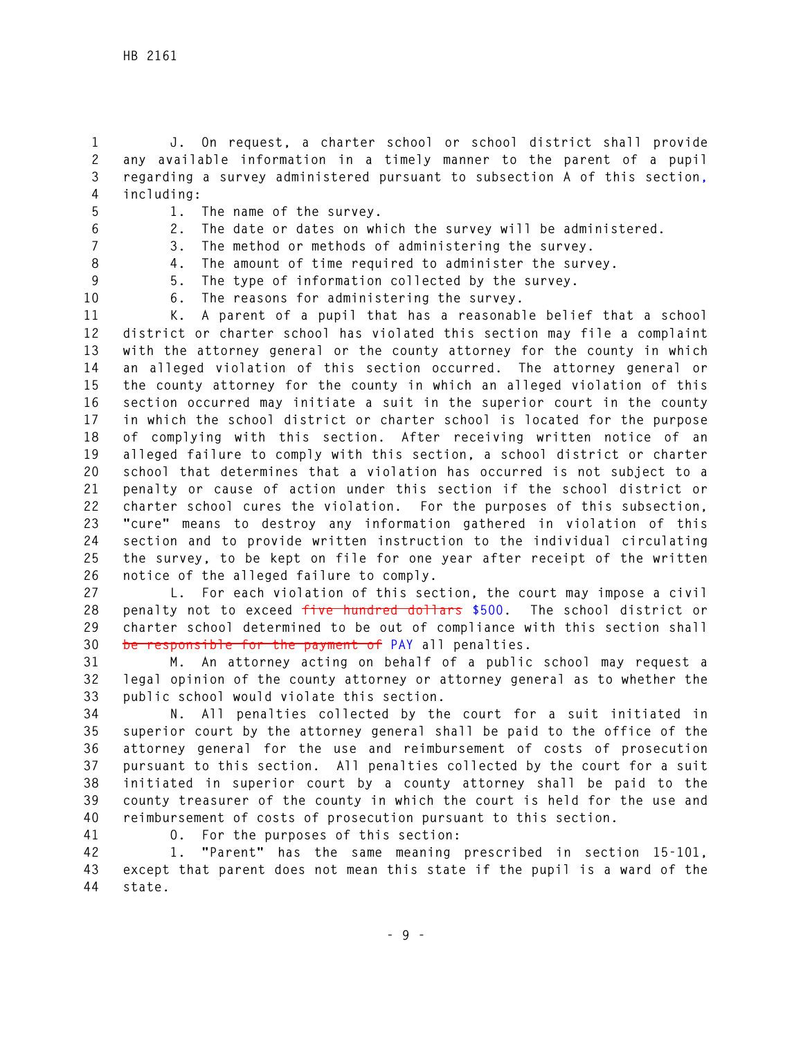**1 J. On request, a charter school or school district shall provide 2 any available information in a timely manner to the parent of a pupil 3 regarding a survey administered pursuant to subsection A of this section, 4 including:** 

- 
- **5 1. The name of the survey.**
- **6 2. The date or dates on which the survey will be administered.**
- **7 3. The method or methods of administering the survey.**
- 

**8 4. The amount of time required to administer the survey.** 

**9 5. The type of information collected by the survey. 10 6. The reasons for administering the survey.** 

**11 K. A parent of a pupil that has a reasonable belief that a school 12 district or charter school has violated this section may file a complaint 13 with the attorney general or the county attorney for the county in which 14 an alleged violation of this section occurred. The attorney general or 15 the county attorney for the county in which an alleged violation of this 16 section occurred may initiate a suit in the superior court in the county 17 in which the school district or charter school is located for the purpose 18 of complying with this section. After receiving written notice of an 19 alleged failure to comply with this section, a school district or charter 20 school that determines that a violation has occurred is not subject to a 21 penalty or cause of action under this section if the school district or 22 charter school cures the violation. For the purposes of this subsection, 23 "cure" means to destroy any information gathered in violation of this 24 section and to provide written instruction to the individual circulating 25 the survey, to be kept on file for one year after receipt of the written 26 notice of the alleged failure to comply.** 

**27 L. For each violation of this section, the court may impose a civil 28 penalty not to exceed five hundred dollars \$500. The school district or 29 charter school determined to be out of compliance with this section shall 30 be responsible for the payment of PAY all penalties.** 

**31 M. An attorney acting on behalf of a public school may request a 32 legal opinion of the county attorney or attorney general as to whether the 33 public school would violate this section.** 

**34 N. All penalties collected by the court for a suit initiated in 35 superior court by the attorney general shall be paid to the office of the 36 attorney general for the use and reimbursement of costs of prosecution 37 pursuant to this section. All penalties collected by the court for a suit 38 initiated in superior court by a county attorney shall be paid to the 39 county treasurer of the county in which the court is held for the use and 40 reimbursement of costs of prosecution pursuant to this section.** 

**41 O. For the purposes of this section:** 

**42 1. "Parent" has the same meaning prescribed in section 15-101, 43 except that parent does not mean this state if the pupil is a ward of the 44 state.**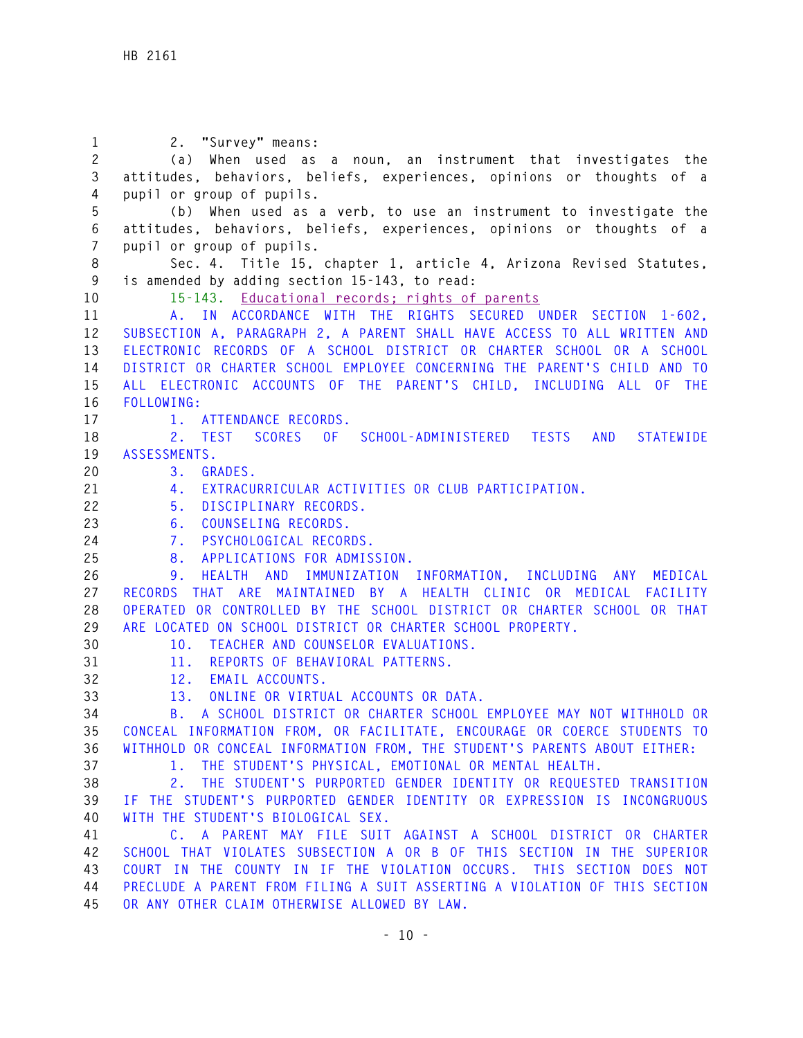**1 2. "Survey" means: 2 (a) When used as a noun, an instrument that investigates the 3 attitudes, behaviors, beliefs, experiences, opinions or thoughts of a 4 pupil or group of pupils. 5 (b) When used as a verb, to use an instrument to investigate the 6 attitudes, behaviors, beliefs, experiences, opinions or thoughts of a 7 pupil or group of pupils. 8 Sec. 4. Title 15, chapter 1, article 4, Arizona Revised Statutes, 9 is amended by adding section 15-143, to read: 10 15-143. Educational records; rights of parents 11 A. IN ACCORDANCE WITH THE RIGHTS SECURED UNDER SECTION 1-602, 12 SUBSECTION A, PARAGRAPH 2, A PARENT SHALL HAVE ACCESS TO ALL WRITTEN AND 13 ELECTRONIC RECORDS OF A SCHOOL DISTRICT OR CHARTER SCHOOL OR A SCHOOL 14 DISTRICT OR CHARTER SCHOOL EMPLOYEE CONCERNING THE PARENT'S CHILD AND TO 15 ALL ELECTRONIC ACCOUNTS OF THE PARENT'S CHILD, INCLUDING ALL OF THE 16 FOLLOWING: 17 1. ATTENDANCE RECORDS. 18 2. TEST SCORES OF SCHOOL-ADMINISTERED TESTS AND STATEWIDE 19 ASSESSMENTS. 20 3. GRADES. 21 4. EXTRACURRICULAR ACTIVITIES OR CLUB PARTICIPATION. 22 5. DISCIPLINARY RECORDS. 23 6. COUNSELING RECORDS. 24 7. PSYCHOLOGICAL RECORDS. 25 8. APPLICATIONS FOR ADMISSION. 26 9. HEALTH AND IMMUNIZATION INFORMATION, INCLUDING ANY MEDICAL 27 RECORDS THAT ARE MAINTAINED BY A HEALTH CLINIC OR MEDICAL FACILITY 28 OPERATED OR CONTROLLED BY THE SCHOOL DISTRICT OR CHARTER SCHOOL OR THAT 29 ARE LOCATED ON SCHOOL DISTRICT OR CHARTER SCHOOL PROPERTY. 30 10. TEACHER AND COUNSELOR EVALUATIONS. 31 11. REPORTS OF BEHAVIORAL PATTERNS. 32 12. EMAIL ACCOUNTS. 33 13. ONLINE OR VIRTUAL ACCOUNTS OR DATA. 34 B. A SCHOOL DISTRICT OR CHARTER SCHOOL EMPLOYEE MAY NOT WITHHOLD OR 35 CONCEAL INFORMATION FROM, OR FACILITATE, ENCOURAGE OR COERCE STUDENTS TO 36 WITHHOLD OR CONCEAL INFORMATION FROM, THE STUDENT'S PARENTS ABOUT EITHER: 37 1. THE STUDENT'S PHYSICAL, EMOTIONAL OR MENTAL HEALTH. 38 2. THE STUDENT'S PURPORTED GENDER IDENTITY OR REQUESTED TRANSITION 39 IF THE STUDENT'S PURPORTED GENDER IDENTITY OR EXPRESSION IS INCONGRUOUS 40 WITH THE STUDENT'S BIOLOGICAL SEX. 41 C. A PARENT MAY FILE SUIT AGAINST A SCHOOL DISTRICT OR CHARTER 42 SCHOOL THAT VIOLATES SUBSECTION A OR B OF THIS SECTION IN THE SUPERIOR 43 COURT IN THE COUNTY IN IF THE VIOLATION OCCURS. THIS SECTION DOES NOT 44 PRECLUDE A PARENT FROM FILING A SUIT ASSERTING A VIOLATION OF THIS SECTION 45 OR ANY OTHER CLAIM OTHERWISE ALLOWED BY LAW.**